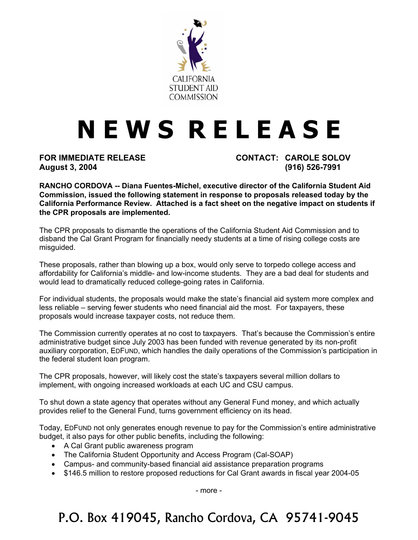

## **N E W S R E L E A S E**

**August 3, 2004 (916) 526-7991** 

**FOR IMMEDIATE RELEASE CONTACT: CAROLE SOLOV** 

**RANCHO CORDOVA -- Diana Fuentes-Michel, executive director of the California Student Aid Commission, issued the following statement in response to proposals released today by the California Performance Review. Attached is a fact sheet on the negative impact on students if the CPR proposals are implemented.** 

The CPR proposals to dismantle the operations of the California Student Aid Commission and to disband the Cal Grant Program for financially needy students at a time of rising college costs are misguided.

These proposals, rather than blowing up a box, would only serve to torpedo college access and affordability for California's middle- and low-income students. They are a bad deal for students and would lead to dramatically reduced college-going rates in California.

For individual students, the proposals would make the state's financial aid system more complex and less reliable – serving fewer students who need financial aid the most. For taxpayers, these proposals would increase taxpayer costs, not reduce them.

The Commission currently operates at no cost to taxpayers. That's because the Commission's entire administrative budget since July 2003 has been funded with revenue generated by its non-profit auxiliary corporation, EDFUND, which handles the daily operations of the Commission's participation in the federal student loan program.

The CPR proposals, however, will likely cost the state's taxpayers several million dollars to implement, with ongoing increased workloads at each UC and CSU campus.

To shut down a state agency that operates without any General Fund money, and which actually provides relief to the General Fund, turns government efficiency on its head.

Today, EDFUND not only generates enough revenue to pay for the Commission's entire administrative budget, it also pays for other public benefits, including the following:

- A Cal Grant public awareness program
- The California Student Opportunity and Access Program (Cal-SOAP)
- Campus- and community-based financial aid assistance preparation programs
- \$146.5 million to restore proposed reductions for Cal Grant awards in fiscal year 2004-05

- more -

P.O. Box 419045, Rancho Cordova, CA 95741-9045